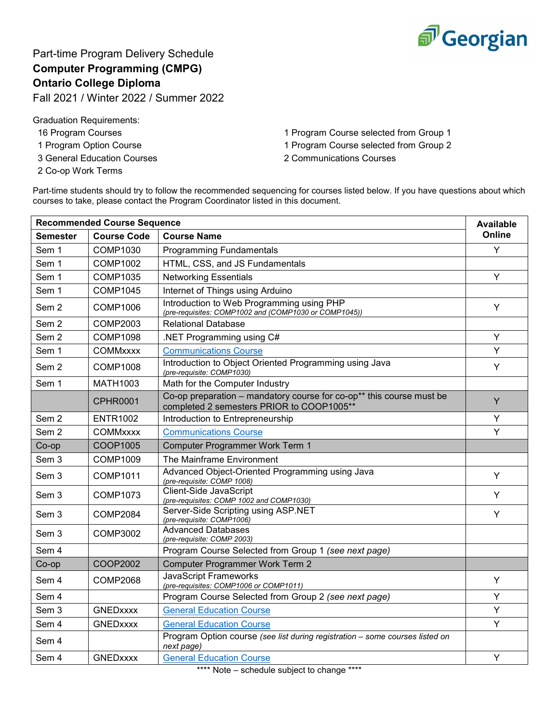

Part-time Program Delivery Schedule **Computer Programming (CMPG) Ontario College Diploma**

Fall 2021 / Winter 2022 / Summer 2022

Graduation Requirements:

- 
- 
- 3 General Education Courses 2 Communications Courses
- 2 Co-op Work Terms

16 Program Courses 1 Program Course selected from Group 1 1 Program Option Course 1 Program Course selected from Group 2

Part-time students should try to follow the recommended sequencing for courses listed below. If you have questions about which courses to take, please contact the Program Coordinator listed in this document.

| <b>Recommended Course Sequence</b> |                    |                                                                                                                   |        |
|------------------------------------|--------------------|-------------------------------------------------------------------------------------------------------------------|--------|
| Semester                           | <b>Course Code</b> | <b>Course Name</b>                                                                                                | Online |
| Sem 1                              | COMP1030           | <b>Programming Fundamentals</b>                                                                                   | Υ      |
| Sem 1                              | <b>COMP1002</b>    | HTML, CSS, and JS Fundamentals                                                                                    |        |
| Sem 1                              | <b>COMP1035</b>    | <b>Networking Essentials</b>                                                                                      | Y      |
| Sem 1                              | <b>COMP1045</b>    | Internet of Things using Arduino                                                                                  |        |
| Sem <sub>2</sub>                   | COMP1006           | Introduction to Web Programming using PHP<br>(pre-requisites: COMP1002 and (COMP1030 or COMP1045))                | Y      |
| Sem <sub>2</sub>                   | <b>COMP2003</b>    | <b>Relational Database</b>                                                                                        |        |
| Sem <sub>2</sub>                   | <b>COMP1098</b>    | .NET Programming using C#                                                                                         | Y      |
| Sem 1                              | <b>COMMxxxx</b>    | <b>Communications Course</b>                                                                                      | Y      |
| Sem <sub>2</sub>                   | <b>COMP1008</b>    | Introduction to Object Oriented Programming using Java<br>(pre-requisite: COMP1030)                               | Y      |
| Sem 1                              | <b>MATH1003</b>    | Math for the Computer Industry                                                                                    |        |
|                                    | <b>CPHR0001</b>    | Co-op preparation - mandatory course for co-op** this course must be<br>completed 2 semesters PRIOR to COOP1005** | Y      |
| Sem 2                              | <b>ENTR1002</b>    | Introduction to Entrepreneurship                                                                                  | Υ      |
| Sem 2                              | <b>COMMxxxx</b>    | <b>Communications Course</b>                                                                                      | Y      |
| Co-op                              | COOP1005           | <b>Computer Programmer Work Term 1</b>                                                                            |        |
| Sem 3                              | <b>COMP1009</b>    | The Mainframe Environment                                                                                         |        |
| Sem <sub>3</sub>                   | <b>COMP1011</b>    | Advanced Object-Oriented Programming using Java<br>(pre-requisite: COMP 1008)                                     | Y      |
| Sem 3                              | <b>COMP1073</b>    | Client-Side JavaScript<br>(pre-requisites: COMP 1002 and COMP1030)                                                | Y      |
| Sem <sub>3</sub>                   | COMP2084           | Server-Side Scripting using ASP.NET<br>(pre-requisite: COMP1006)                                                  | Y      |
| Sem 3                              | <b>COMP3002</b>    | <b>Advanced Databases</b><br>(pre-requisite: COMP 2003)                                                           |        |
| Sem 4                              |                    | Program Course Selected from Group 1 (see next page)                                                              |        |
| Co-op                              | COOP2002           | <b>Computer Programmer Work Term 2</b>                                                                            |        |
| Sem 4                              | <b>COMP2068</b>    | <b>JavaScript Frameworks</b><br>(pre-requisites: COMP1006 or COMP1011)                                            | Υ      |
| Sem 4                              |                    | Program Course Selected from Group 2 (see next page)                                                              | Υ      |
| Sem 3                              | <b>GNEDxxxx</b>    | <b>General Education Course</b>                                                                                   | Y      |
| Sem 4                              | <b>GNEDxxxx</b>    | <b>General Education Course</b>                                                                                   | Y      |
| Sem 4                              |                    | Program Option course (see list during registration - some courses listed on<br>next page)                        |        |
| Sem 4                              | <b>GNEDxxxx</b>    | <b>General Education Course</b><br>.<br>بالمالية                                                                  | Y      |

Note – schedule subject to change